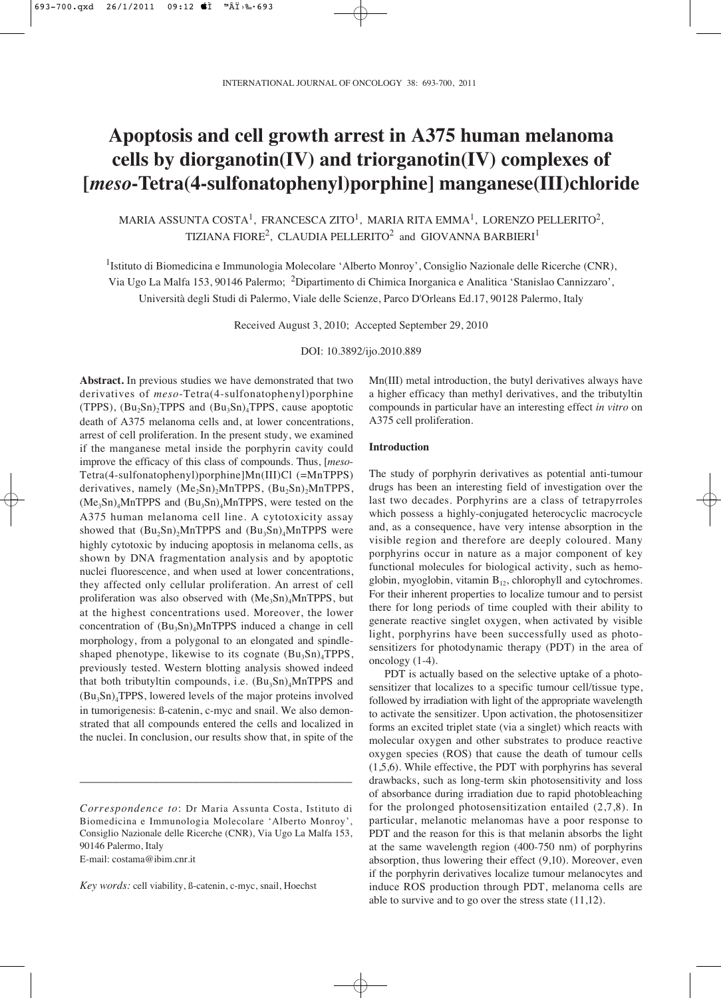# **Apoptosis and cell growth arrest in A375 human melanoma cells by diorganotin(IV) and triorganotin(IV) complexes of [***meso***-Tetra(4-sulfonatophenyl)porphine] manganese(III)chloride**

MARIA ASSUNTA COSTA<sup>1</sup>, FRANCESCA ZITO<sup>1</sup>, MARIA RITA EMMA<sup>1</sup>, LORENZO PELLERITO<sup>2</sup>, TIZIANA FIORE<sup>2</sup>, CLAUDIA PELLERITO<sup>2</sup> and GIOVANNA BARBIERI<sup>1</sup>

<sup>1</sup>Istituto di Biomedicina e Immunologia Molecolare 'Alberto Monroy', Consiglio Nazionale delle Ricerche (CNR), Via Ugo La Malfa 153, 90146 Palermo; 2Dipartimento di Chimica Inorganica e Analitica 'Stanislao Cannizzaro', Università degli Studi di Palermo, Viale delle Scienze, Parco D'Orleans Ed.17, 90128 Palermo, Italy

Received August 3, 2010; Accepted September 29, 2010

DOI: 10.3892/ijo.2010.889

**Abstract.** In previous studies we have demonstrated that two derivatives of *meso*-Tetra(4-sulfonatophenyl)porphine (TPPS),  $(Bu_2Sn)_2TPPS$  and  $(Bu_3Sn)_4TPPS$ , cause apoptotic death of A375 melanoma cells and, at lower concentrations, arrest of cell proliferation. In the present study, we examined if the manganese metal inside the porphyrin cavity could improve the efficacy of this class of compounds. Thus, [*meso*-Tetra(4-sulfonatophenyl)porphine]Mn(III)Cl (=MnTPPS) derivatives, namely  $(Me_2Sn)_2MnTPPS$ ,  $(Bu_2Sn)_2MnTPPS$ ,  $(Me<sub>3</sub>Sn)<sub>4</sub>MnTPPS$  and  $(Bu<sub>3</sub>Sn)<sub>4</sub>MnTPPS$ , were tested on the A375 human melanoma cell line. A cytotoxicity assay showed that  $(Bu_2Sn)$ <sub>2</sub>MnTPPS and  $(Bu_3Sn)$ <sub>4</sub>MnTPPS were highly cytotoxic by inducing apoptosis in melanoma cells, as shown by DNA fragmentation analysis and by apoptotic nuclei fluorescence, and when used at lower concentrations, they affected only cellular proliferation. An arrest of cell proliferation was also observed with  $(Me<sub>3</sub>Sn)<sub>4</sub>MnTPPS$ , but at the highest concentrations used. Moreover, the lower concentration of  $(Bu_3Sn)_4MnTPPS$  induced a change in cell morphology, from a polygonal to an elongated and spindleshaped phenotype, likewise to its cognate  $(Bu_3Sn)_4TPPS$ , previously tested. Western blotting analysis showed indeed that both tributyltin compounds, i.e.  $(Bu_3Sn)_4MnTPPS$  and  $(Bu_3Sn)_4TPPS$ , lowered levels of the major proteins involved in tumorigenesis: ß-catenin, c-myc and snail. We also demonstrated that all compounds entered the cells and localized in the nuclei. In conclusion, our results show that, in spite of the

\_\_\_\_\_\_\_\_\_\_\_\_\_\_\_\_\_\_\_\_\_\_\_\_\_\_\_\_\_\_\_\_\_\_\_\_\_\_\_\_\_

E-mail: costama@ibim.cnr.it

Mn(III) metal introduction, the butyl derivatives always have a higher efficacy than methyl derivatives, and the tributyltin compounds in particular have an interesting effect *in vitro* on A375 cell proliferation.

## **Introduction**

The study of porphyrin derivatives as potential anti-tumour drugs has been an interesting field of investigation over the last two decades. Porphyrins are a class of tetrapyrroles which possess a highly-conjugated heterocyclic macrocycle and, as a consequence, have very intense absorption in the visible region and therefore are deeply coloured. Many porphyrins occur in nature as a major component of key functional molecules for biological activity, such as hemoglobin, myoglobin, vitamin  $B_{12}$ , chlorophyll and cytochromes. For their inherent properties to localize tumour and to persist there for long periods of time coupled with their ability to generate reactive singlet oxygen, when activated by visible light, porphyrins have been successfully used as photosensitizers for photodynamic therapy (PDT) in the area of oncology (1-4).

PDT is actually based on the selective uptake of a photosensitizer that localizes to a specific tumour cell/tissue type, followed by irradiation with light of the appropriate wavelength to activate the sensitizer. Upon activation, the photosensitizer forms an excited triplet state (via a singlet) which reacts with molecular oxygen and other substrates to produce reactive oxygen species (ROS) that cause the death of tumour cells (1,5,6). While effective, the PDT with porphyrins has several drawbacks, such as long-term skin photosensitivity and loss of absorbance during irradiation due to rapid photobleaching for the prolonged photosensitization entailed (2,7,8). In particular, melanotic melanomas have a poor response to PDT and the reason for this is that melanin absorbs the light at the same wavelength region (400-750 nm) of porphyrins absorption, thus lowering their effect (9,10). Moreover, even if the porphyrin derivatives localize tumour melanocytes and induce ROS production through PDT, melanoma cells are able to survive and to go over the stress state (11,12).

*Correspondence to*: Dr Maria Assunta Costa, Istituto di Biomedicina e Immunologia Molecolare 'Alberto Monroy', Consiglio Nazionale delle Ricerche (CNR), Via Ugo La Malfa 153, 90146 Palermo, Italy

*Key words:* cell viability, ß-catenin, c-myc, snail, Hoechst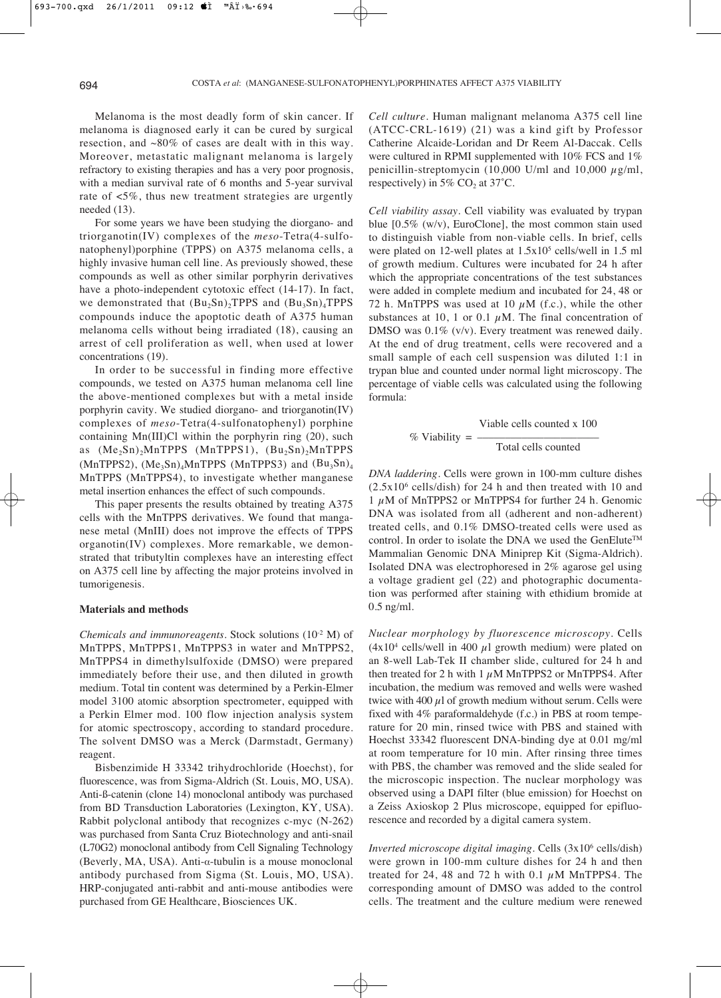Melanoma is the most deadly form of skin cancer. If melanoma is diagnosed early it can be cured by surgical resection, and ~80% of cases are dealt with in this way. Moreover, metastatic malignant melanoma is largely refractory to existing therapies and has a very poor prognosis, with a median survival rate of 6 months and 5-year survival rate of <5%, thus new treatment strategies are urgently needed (13).

For some years we have been studying the diorgano- and triorganotin(IV) complexes of the *meso*-Tetra(4-sulfonatophenyl)porphine (TPPS) on A375 melanoma cells, a highly invasive human cell line. As previously showed, these compounds as well as other similar porphyrin derivatives have a photo-independent cytotoxic effect (14-17). In fact, we demonstrated that  $(Bu_2Sn)_2TPPS$  and  $(Bu_3Sn)_4TPPS$ compounds induce the apoptotic death of A375 human melanoma cells without being irradiated (18), causing an arrest of cell proliferation as well, when used at lower concentrations (19).

In order to be successful in finding more effective compounds, we tested on A375 human melanoma cell line the above-mentioned complexes but with a metal inside porphyrin cavity. We studied diorgano- and triorganotin(IV) complexes of *meso*-Tetra(4-sulfonatophenyl) porphine containing Mn(III)Cl within the porphyrin ring (20), such as  $(Me_2Sn)_2MnTPPS$  (MnTPPS1),  $(Bu_2Sn)_2MnTPPS$ (MnTPPS2),  $(Me<sub>3</sub>Sn)<sub>4</sub>MnTPPS$  (MnTPPS3) and  $(Bu<sub>3</sub>Sn)<sub>4</sub>$ MnTPPS (MnTPPS4), to investigate whether manganese metal insertion enhances the effect of such compounds.

This paper presents the results obtained by treating A375 cells with the MnTPPS derivatives. We found that manganese metal (MnIII) does not improve the effects of TPPS organotin(IV) complexes. More remarkable, we demonstrated that tributyltin complexes have an interesting effect on A375 cell line by affecting the major proteins involved in tumorigenesis.

#### **Materials and methods**

*Chemicals and immunoreagents.* Stock solutions (10<sup>-2</sup> M) of MnTPPS, MnTPPS1, MnTPPS3 in water and MnTPPS2, MnTPPS4 in dimethylsulfoxide (DMSO) were prepared immediately before their use, and then diluted in growth medium. Total tin content was determined by a Perkin-Elmer model 3100 atomic absorption spectrometer, equipped with a Perkin Elmer mod. 100 flow injection analysis system for atomic spectroscopy, according to standard procedure. The solvent DMSO was a Merck (Darmstadt, Germany) reagent.

Bisbenzimide H 33342 trihydrochloride (Hoechst), for fluorescence, was from Sigma-Aldrich (St. Louis, MO, USA). Anti-ß-catenin (clone 14) monoclonal antibody was purchased from BD Transduction Laboratories (Lexington, KY, USA). Rabbit polyclonal antibody that recognizes c-myc (N-262) was purchased from Santa Cruz Biotechnology and anti-snail (L70G2) monoclonal antibody from Cell Signaling Technology (Beverly, MA, USA). Anti- $\alpha$ -tubulin is a mouse monoclonal antibody purchased from Sigma (St. Louis, MO, USA). HRP-conjugated anti-rabbit and anti-mouse antibodies were purchased from GE Healthcare, Biosciences UK.

*Cell culture.* Human malignant melanoma A375 cell line (ATCC-CRL-1619) (21) was a kind gift by Professor Catherine Alcaide-Loridan and Dr Reem Al-Daccak. Cells were cultured in RPMI supplemented with 10% FCS and 1% penicillin-streptomycin (10,000 U/ml and 10,000  $\mu$ g/ml, respectively) in 5%  $CO<sub>2</sub>$  at 37°C.

*Cell viability assay.* Cell viability was evaluated by trypan blue [0.5% (w/v), EuroClone], the most common stain used to distinguish viable from non-viable cells. In brief, cells were plated on 12-well plates at  $1.5x10^5$  cells/well in 1.5 ml of growth medium. Cultures were incubated for 24 h after which the appropriate concentrations of the test substances were added in complete medium and incubated for 24, 48 or 72 h. MnTPPS was used at 10  $\mu$ M (f.c.), while the other substances at 10, 1 or 0.1  $\mu$ M. The final concentration of DMSO was  $0.1\%$  (v/v). Every treatment was renewed daily. At the end of drug treatment, cells were recovered and a small sample of each cell suspension was diluted 1:1 in trypan blue and counted under normal light microscopy. The percentage of viable cells was calculated using the following formula:

$$
\% \text{ Viability} = \frac{\text{Viable cells counted x 100}}{\text{Total cells counted}}
$$

*DNA laddering.* Cells were grown in 100-mm culture dishes  $(2.5x10<sup>6</sup>$  cells/dish) for 24 h and then treated with 10 and 1  $\mu$ M of MnTPPS2 or MnTPPS4 for further 24 h. Genomic DNA was isolated from all (adherent and non-adherent) treated cells, and 0.1% DMSO-treated cells were used as control. In order to isolate the DNA we used the GenElute<sup>TM</sup> Mammalian Genomic DNA Miniprep Kit (Sigma-Aldrich). Isolated DNA was electrophoresed in 2% agarose gel using a voltage gradient gel (22) and photographic documentation was performed after staining with ethidium bromide at 0.5 ng/ml.

*Nuclear morphology by fluorescence microscopy.* Cells  $(4x10<sup>4</sup>$  cells/well in 400  $\mu$ l growth medium) were plated on an 8-well Lab-Tek II chamber slide, cultured for 24 h and then treated for 2 h with 1  $\mu$ M MnTPPS2 or MnTPPS4. After incubation, the medium was removed and wells were washed twice with 400  $\mu$ l of growth medium without serum. Cells were fixed with 4% paraformaldehyde (f.c.) in PBS at room temperature for 20 min, rinsed twice with PBS and stained with Hoechst 33342 fluorescent DNA-binding dye at 0.01 mg/ml at room temperature for 10 min. After rinsing three times with PBS, the chamber was removed and the slide sealed for the microscopic inspection. The nuclear morphology was observed using a DAPI filter (blue emission) for Hoechst on a Zeiss Axioskop 2 Plus microscope, equipped for epifluorescence and recorded by a digital camera system.

*Inverted microscope digital imaging.* Cells (3x106 cells/dish) were grown in 100-mm culture dishes for 24 h and then treated for 24, 48 and 72 h with 0.1  $\mu$ M MnTPPS4. The corresponding amount of DMSO was added to the control cells. The treatment and the culture medium were renewed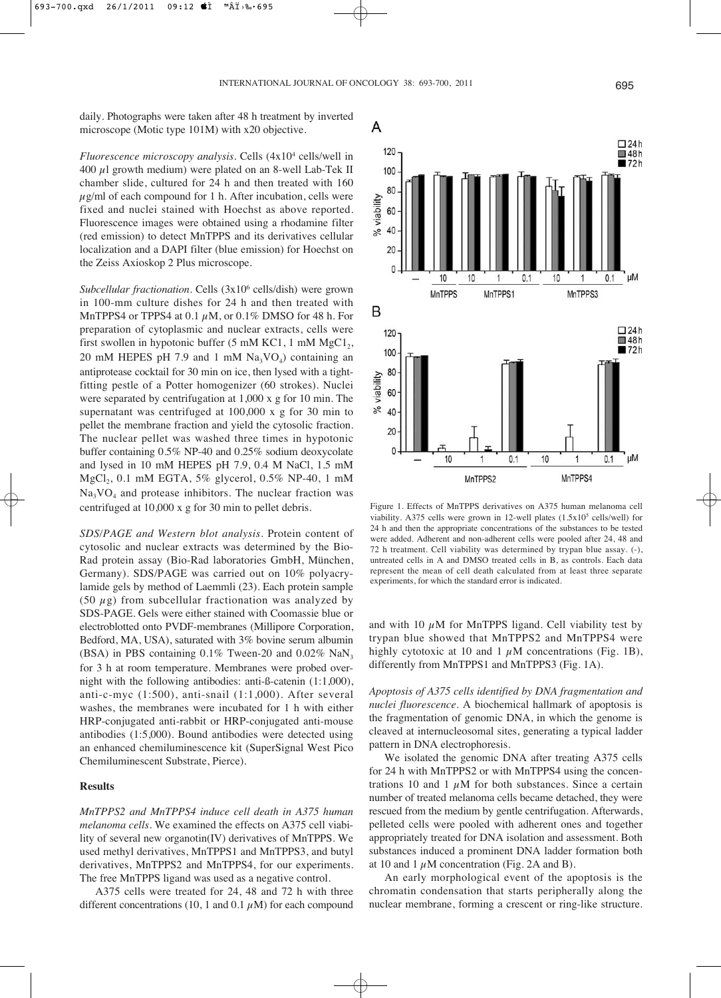A

120

daily. Photographs were taken after 48 h treatment by inverted microscope (Motic type 101M) with x20 objective.

*Fluorescence microscopy analysis.* Cells (4x104 cells/well in 400  $\mu$ l growth medium) were plated on an 8-well Lab-Tek II chamber slide, cultured for 24 h and then treated with 160  $\mu$ g/ml of each compound for 1 h. After incubation, cells were fixed and nuclei stained with Hoechst as above reported. Fluorescence images were obtained using a rhodamine filter (red emission) to detect MnTPPS and its derivatives cellular localization and a DAPI filter (blue emission) for Hoechst on the Zeiss Axioskop 2 Plus microscope.

*Subcellular fractionation.* Cells (3x106 cells/dish) were grown in 100-mm culture dishes for 24 h and then treated with MnTPPS4 or TPPS4 at 0.1  $\mu$ M, or 0.1% DMSO for 48 h. For preparation of cytoplasmic and nuclear extracts, cells were first swollen in hypotonic buffer (5 mM KC1, 1 mM  $MgCl<sub>2</sub>$ , 20 mM HEPES pH 7.9 and 1 mM  $Na<sub>3</sub>VO<sub>4</sub>$ ) containing an antiprotease cocktail for 30 min on ice, then lysed with a tightfitting pestle of a Potter homogenizer (60 strokes). Nuclei were separated by centrifugation at 1,000 x g for 10 min. The supernatant was centrifuged at 100,000 x g for 30 min to pellet the membrane fraction and yield the cytosolic fraction. The nuclear pellet was washed three times in hypotonic buffer containing 0.5% NP-40 and 0.25% sodium deoxycolate and lysed in 10 mM HEPES pH 7.9, 0.4 M NaCl, 1.5 mM  $MgCl<sub>2</sub>$ , 0.1 mM EGTA, 5% glycerol, 0.5% NP-40, 1 mM  $Na<sub>3</sub>VO<sub>4</sub>$  and protease inhibitors. The nuclear fraction was centrifuged at 10,000 x g for 30 min to pellet debris.

*SDS/PAGE and Western blot analysis.* Protein content of cytosolic and nuclear extracts was determined by the Bio-Rad protein assay (Bio-Rad laboratories GmbH, München, Germany). SDS/PAGE was carried out on 10% polyacrylamide gels by method of Laemmli (23). Each protein sample (50  $\mu$ g) from subcellular fractionation was analyzed by SDS-PAGE. Gels were either stained with Coomassie blue or electroblotted onto PVDF-membranes (Millipore Corporation, Bedford, MA, USA), saturated with 3% bovine serum albumin (BSA) in PBS containing  $0.1\%$  Tween-20 and  $0.02\%$  NaN<sub>3</sub> for 3 h at room temperature. Membranes were probed overnight with the following antibodies: anti-ß-catenin (1:1,000), anti-c-myc (1:500), anti-snail (1:1,000). After several washes, the membranes were incubated for 1 h with either HRP-conjugated anti-rabbit or HRP-conjugated anti-mouse antibodies (1:5,000). Bound antibodies were detected using an enhanced chemiluminescence kit (SuperSignal West Pico Chemiluminescent Substrate, Pierce).

## **Results**

*MnTPPS2 and MnTPPS4 induce cell death in A375 human melanoma cells.* We examined the effects on A375 cell viability of several new organotin(IV) derivatives of MnTPPS. We used methyl derivatives, MnTPPS1 and MnTPPS3, and butyl derivatives, MnTPPS2 and MnTPPS4, for our experiments. The free MnTPPS ligand was used as a negative control.

A375 cells were treated for 24, 48 and 72 h with three different concentrations (10, 1 and 0.1  $\mu$ M) for each compound



viability. A375 cells were grown in 12-well plates  $(1.5x10<sup>5</sup>$  cells/well) for 24 h and then the appropriate concentrations of the substances to be tested were added. Adherent and non-adherent cells were pooled after 24, 48 and 72 h treatment. Cell viability was determined by trypan blue assay. (-), untreated cells in A and DMSO treated cells in B, as controls. Each data represent the mean of cell death calculated from at least three separate experiments, for which the standard error is indicated.

and with 10  $\mu$ M for MnTPPS ligand. Cell viability test by trypan blue showed that MnTPPS2 and MnTPPS4 were highly cytotoxic at 10 and 1  $\mu$ M concentrations (Fig. 1B), differently from MnTPPS1 and MnTPPS3 (Fig. 1A).

*Apoptosis of A375 cells identified by DNA fragmentation and nuclei fluorescence.* A biochemical hallmark of apoptosis is the fragmentation of genomic DNA, in which the genome is cleaved at internucleosomal sites, generating a typical ladder pattern in DNA electrophoresis.

We isolated the genomic DNA after treating A375 cells for 24 h with MnTPPS2 or with MnTPPS4 using the concentrations 10 and 1  $\mu$ M for both substances. Since a certain number of treated melanoma cells became detached, they were rescued from the medium by gentle centrifugation. Afterwards, pelleted cells were pooled with adherent ones and together appropriately treated for DNA isolation and assessment. Both substances induced a prominent DNA ladder formation both at 10 and 1  $\mu$ M concentration (Fig. 2A and B).

An early morphological event of the apoptosis is the chromatin condensation that starts peripherally along the nuclear membrane, forming a crescent or ring-like structure.

 $\square$  24h

 $148h$  $172h$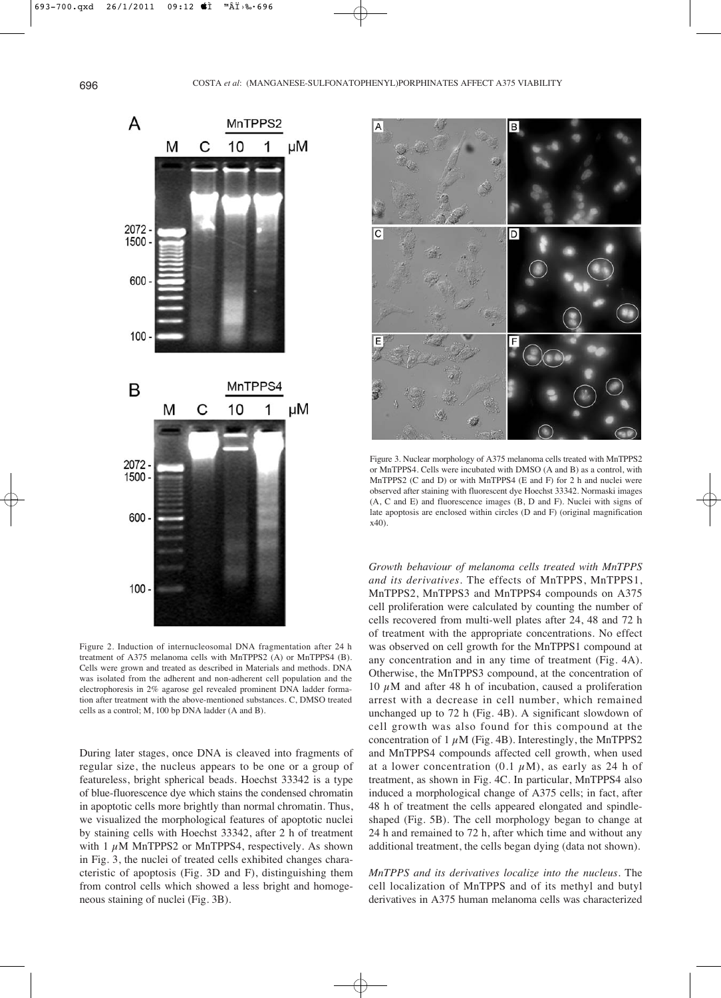

Figure 2. Induction of internucleosomal DNA fragmentation after 24 h treatment of A375 melanoma cells with MnTPPS2 (A) or MnTPPS4 (B). Cells were grown and treated as described in Materials and methods. DNA was isolated from the adherent and non-adherent cell population and the electrophoresis in 2% agarose gel revealed prominent DNA ladder formation after treatment with the above-mentioned substances. C, DMSO treated cells as a control; M, 100 bp DNA ladder (A and B).

During later stages, once DNA is cleaved into fragments of regular size, the nucleus appears to be one or a group of featureless, bright spherical beads. Hoechst 33342 is a type of blue-fluorescence dye which stains the condensed chromatin in apoptotic cells more brightly than normal chromatin. Thus, we visualized the morphological features of apoptotic nuclei by staining cells with Hoechst 33342, after 2 h of treatment with 1  $\mu$ M MnTPPS2 or MnTPPS4, respectively. As shown in Fig. 3, the nuclei of treated cells exhibited changes characteristic of apoptosis (Fig. 3D and F), distinguishing them from control cells which showed a less bright and homogeneous staining of nuclei (Fig. 3B).



Figure 3. Nuclear morphology of A375 melanoma cells treated with MnTPPS2 or MnTPPS4. Cells were incubated with DMSO (A and B) as a control, with MnTPPS2 (C and D) or with MnTPPS4 (E and F) for 2 h and nuclei were observed after staining with fluorescent dye Hoechst 33342. Normaski images (A, C and E) and fluorescence images (B, D and F). Nuclei with signs of late apoptosis are enclosed within circles (D and F) (original magnification x40).

*Growth behaviour of melanoma cells treated with MnTPPS and its derivatives.* The effects of MnTPPS, MnTPPS1, MnTPPS2, MnTPPS3 and MnTPPS4 compounds on A375 cell proliferation were calculated by counting the number of cells recovered from multi-well plates after 24, 48 and 72 h of treatment with the appropriate concentrations. No effect was observed on cell growth for the MnTPPS1 compound at any concentration and in any time of treatment (Fig. 4A). Otherwise, the MnTPPS3 compound, at the concentration of 10  $\mu$ M and after 48 h of incubation, caused a proliferation arrest with a decrease in cell number, which remained unchanged up to 72 h (Fig. 4B). A significant slowdown of cell growth was also found for this compound at the concentration of  $1 \mu$ M (Fig. 4B). Interestingly, the MnTPPS2 and MnTPPS4 compounds affected cell growth, when used at a lower concentration  $(0.1 \mu M)$ , as early as 24 h of treatment, as shown in Fig. 4C. In particular, MnTPPS4 also induced a morphological change of A375 cells; in fact, after 48 h of treatment the cells appeared elongated and spindleshaped (Fig. 5B). The cell morphology began to change at 24 h and remained to 72 h, after which time and without any additional treatment, the cells began dying (data not shown).

*MnTPPS and its derivatives localize into the nucleus.* The cell localization of MnTPPS and of its methyl and butyl derivatives in A375 human melanoma cells was characterized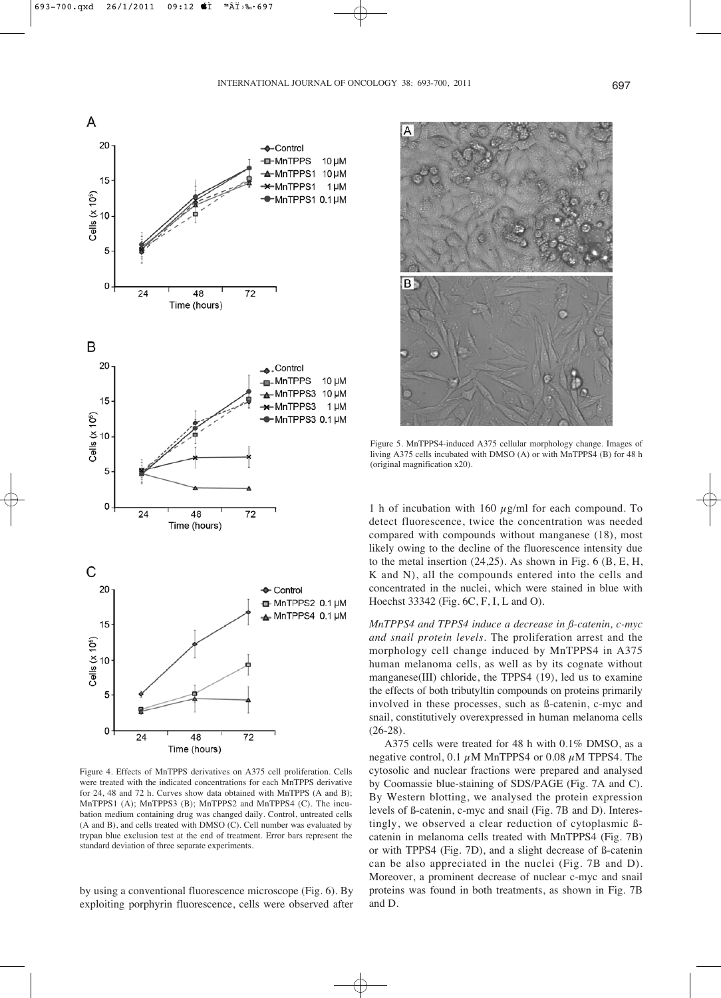

Figure 4. Effects of MnTPPS derivatives on A375 cell proliferation. Cells were treated with the indicated concentrations for each MnTPPS derivative for 24, 48 and 72 h. Curves show data obtained with MnTPPS (A and B); MnTPPS1 (A); MnTPPS3 (B); MnTPPS2 and MnTPPS4 (C). The incubation medium containing drug was changed daily. Control, untreated cells (A and B), and cells treated with DMSO (C). Cell number was evaluated by trypan blue exclusion test at the end of treatment. Error bars represent the standard deviation of three separate experiments.

by using a conventional fluorescence microscope (Fig. 6). By exploiting porphyrin fluorescence, cells were observed after



Figure 5. MnTPPS4-induced A375 cellular morphology change. Images of living A375 cells incubated with DMSO (A) or with MnTPPS4 (B) for 48 h (original magnification x20).

1 h of incubation with 160  $\mu$ g/ml for each compound. To detect fluorescence, twice the concentration was needed compared with compounds without manganese (18), most likely owing to the decline of the fluorescence intensity due to the metal insertion (24,25). As shown in Fig. 6 (B, E, H, K and N), all the compounds entered into the cells and concentrated in the nuclei, which were stained in blue with Hoechst 33342 (Fig. 6C, F, I, L and O).

*MnTPPS4 and TPPS4 induce a decrease in ß-catenin, c-myc and snail protein levels.* The proliferation arrest and the morphology cell change induced by MnTPPS4 in A375 human melanoma cells, as well as by its cognate without manganese(III) chloride, the TPPS4 (19), led us to examine the effects of both tributyltin compounds on proteins primarily involved in these processes, such as ß-catenin, c-myc and snail, constitutively overexpressed in human melanoma cells (26-28).

A375 cells were treated for 48 h with 0.1% DMSO, as a negative control, 0.1  $\mu$ M MnTPPS4 or 0.08  $\mu$ M TPPS4. The cytosolic and nuclear fractions were prepared and analysed by Coomassie blue-staining of SDS/PAGE (Fig. 7A and C). By Western blotting, we analysed the protein expression levels of ß-catenin, c-myc and snail (Fig. 7B and D). Interestingly, we observed a clear reduction of cytoplasmic ßcatenin in melanoma cells treated with MnTPPS4 (Fig. 7B) or with TPPS4 (Fig. 7D), and a slight decrease of ß-catenin can be also appreciated in the nuclei (Fig. 7B and D). Moreover, a prominent decrease of nuclear c-myc and snail proteins was found in both treatments, as shown in Fig. 7B and D.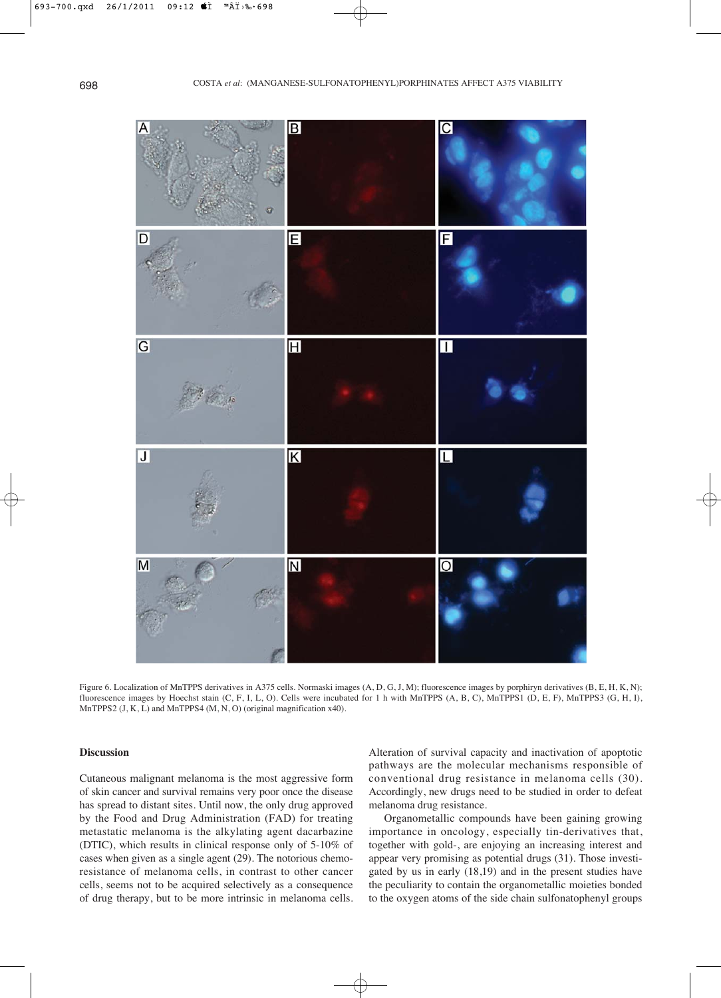

Figure 6. Localization of MnTPPS derivatives in A375 cells. Normaski images (A, D, G, J, M); fluorescence images by porphiryn derivatives (B, E, H, K, N); fluorescence images by Hoechst stain (C, F, I, L, O). Cells were incubated for 1 h with MnTPPS (A, B, C), MnTPPS1 (D, E, F), MnTPPS3 (G, H, I), MnTPPS2 (J, K, L) and MnTPPS4 (M, N, O) (original magnification x40).

# **Discussion**

Cutaneous malignant melanoma is the most aggressive form of skin cancer and survival remains very poor once the disease has spread to distant sites. Until now, the only drug approved by the Food and Drug Administration (FAD) for treating metastatic melanoma is the alkylating agent dacarbazine (DTIC), which results in clinical response only of 5-10% of cases when given as a single agent (29). The notorious chemoresistance of melanoma cells, in contrast to other cancer cells, seems not to be acquired selectively as a consequence of drug therapy, but to be more intrinsic in melanoma cells. Alteration of survival capacity and inactivation of apoptotic pathways are the molecular mechanisms responsible of conventional drug resistance in melanoma cells (30). Accordingly, new drugs need to be studied in order to defeat melanoma drug resistance.

Organometallic compounds have been gaining growing importance in oncology, especially tin-derivatives that, together with gold-, are enjoying an increasing interest and appear very promising as potential drugs (31). Those investigated by us in early (18,19) and in the present studies have the peculiarity to contain the organometallic moieties bonded to the oxygen atoms of the side chain sulfonatophenyl groups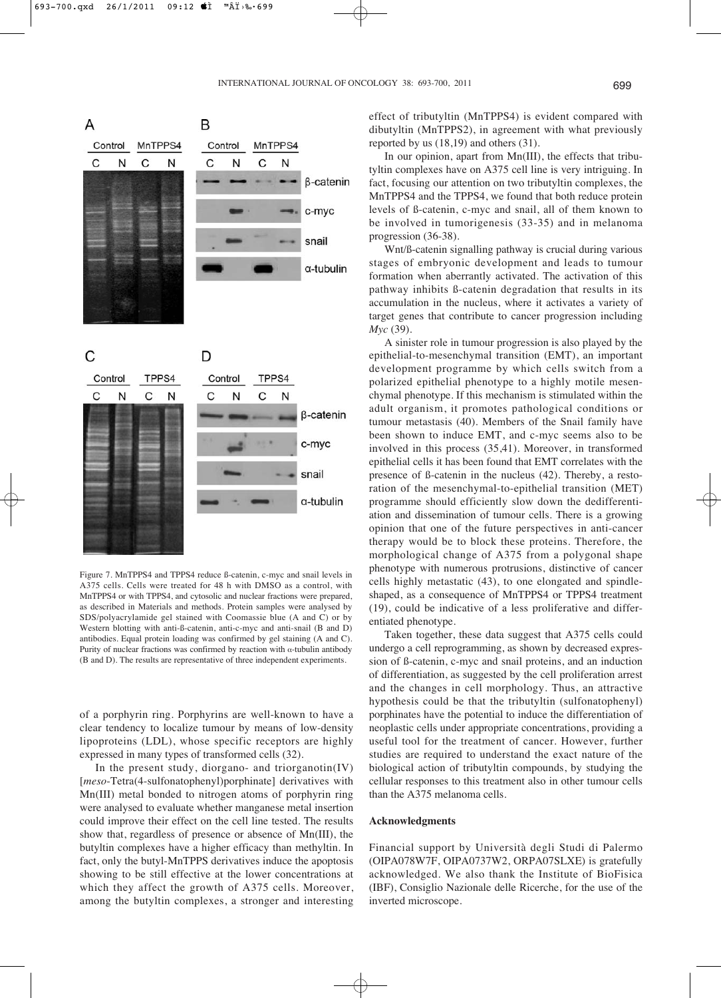



Figure 7. MnTPPS4 and TPPS4 reduce ß-catenin, c-myc and snail levels in A375 cells. Cells were treated for 48 h with DMSO as a control, with MnTPPS4 or with TPPS4, and cytosolic and nuclear fractions were prepared, as described in Materials and methods. Protein samples were analysed by SDS/polyacrylamide gel stained with Coomassie blue (A and C) or by Western blotting with anti-ß-catenin, anti-c-myc and anti-snail (B and D) antibodies. Equal protein loading was confirmed by gel staining (A and C). Purity of nuclear fractions was confirmed by reaction with  $\alpha$ -tubulin antibody (B and D). The results are representative of three independent experiments.

of a porphyrin ring. Porphyrins are well-known to have a clear tendency to localize tumour by means of low-density lipoproteins (LDL), whose specific receptors are highly expressed in many types of transformed cells (32).

In the present study, diorgano- and triorganotin(IV) [*meso*-Tetra(4-sulfonatophenyl)porphinate] derivatives with Mn(III) metal bonded to nitrogen atoms of porphyrin ring were analysed to evaluate whether manganese metal insertion could improve their effect on the cell line tested. The results show that, regardless of presence or absence of Mn(III), the butyltin complexes have a higher efficacy than methyltin. In fact, only the butyl-MnTPPS derivatives induce the apoptosis showing to be still effective at the lower concentrations at which they affect the growth of A375 cells. Moreover, among the butyltin complexes, a stronger and interesting effect of tributyltin (MnTPPS4) is evident compared with dibutyltin (MnTPPS2), in agreement with what previously reported by us (18,19) and others (31).

In our opinion, apart from Mn(III), the effects that tributyltin complexes have on A375 cell line is very intriguing. In fact, focusing our attention on two tributyltin complexes, the MnTPPS4 and the TPPS4, we found that both reduce protein levels of ß-catenin, c-myc and snail, all of them known to be involved in tumorigenesis (33-35) and in melanoma progression (36-38).

Wnt/ß-catenin signalling pathway is crucial during various stages of embryonic development and leads to tumour formation when aberrantly activated. The activation of this pathway inhibits ß-catenin degradation that results in its accumulation in the nucleus, where it activates a variety of target genes that contribute to cancer progression including *Myc* (39).

A sinister role in tumour progression is also played by the epithelial-to-mesenchymal transition (EMT), an important development programme by which cells switch from a polarized epithelial phenotype to a highly motile mesenchymal phenotype. If this mechanism is stimulated within the adult organism, it promotes pathological conditions or tumour metastasis (40). Members of the Snail family have been shown to induce EMT, and c-myc seems also to be involved in this process (35,41). Moreover, in transformed epithelial cells it has been found that EMT correlates with the presence of ß-catenin in the nucleus (42). Thereby, a restoration of the mesenchymal-to-epithelial transition (MET) programme should efficiently slow down the dedifferentiation and dissemination of tumour cells. There is a growing opinion that one of the future perspectives in anti-cancer therapy would be to block these proteins. Therefore, the morphological change of A375 from a polygonal shape phenotype with numerous protrusions, distinctive of cancer cells highly metastatic (43), to one elongated and spindleshaped, as a consequence of MnTPPS4 or TPPS4 treatment (19), could be indicative of a less proliferative and differentiated phenotype.

Taken together, these data suggest that A375 cells could undergo a cell reprogramming, as shown by decreased expression of ß-catenin, c-myc and snail proteins, and an induction of differentiation, as suggested by the cell proliferation arrest and the changes in cell morphology. Thus, an attractive hypothesis could be that the tributyltin (sulfonatophenyl) porphinates have the potential to induce the differentiation of neoplastic cells under appropriate concentrations, providing a useful tool for the treatment of cancer. However, further studies are required to understand the exact nature of the biological action of tributyltin compounds, by studying the cellular responses to this treatment also in other tumour cells than the A375 melanoma cells.

#### **Acknowledgments**

Financial support by Università degli Studi di Palermo (OIPA078W7F, OIPA0737W2, ORPA07SLXE) is gratefully acknowledged. We also thank the Institute of BioFisica (IBF), Consiglio Nazionale delle Ricerche, for the use of the inverted microscope.